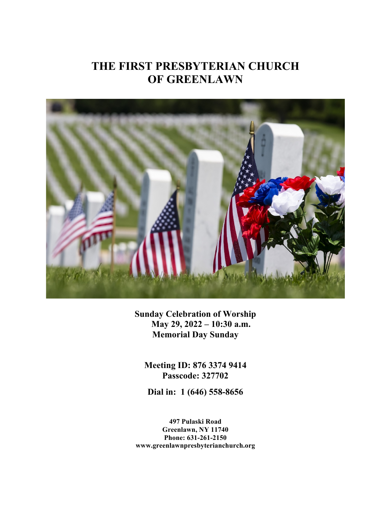# **THE FIRST PRESBYTERIAN CHURCH OF GREENLAWN**



**Sunday Celebration of Worship May 29, 2022 – 10:30 a.m. Memorial Day Sunday**

**Meeting ID: 876 3374 9414 Passcode: 327702**

**Dial in: 1 (646) 558-8656**

**497 Pulaski Road Greenlawn, NY 11740 Phone: 631-261-2150 www.greenlawnpresbyterianchurch.org**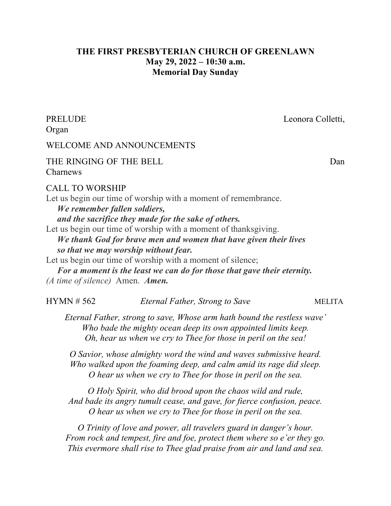# **THE FIRST PRESBYTERIAN CHURCH OF GREENLAWN May 29, 2022 – 10:30 a.m. Memorial Day Sunday**

Organ

PRELUDE Leonora Colletti,

# WELCOME AND ANNOUNCEMENTS

THE RINGING OF THE BELL Dan Charnews

CALL TO WORSHIP

Let us begin our time of worship with a moment of remembrance. *We remember fallen soldiers, and the sacrifice they made for the sake of others.* Let us begin our time of worship with a moment of thanksgiving.  *We thank God for brave men and women that have given their lives so that we may worship without fear.*

Let us begin our time of worship with a moment of silence;

 *For a moment is the least we can do for those that gave their eternity. (A time of silence)* Amen. *Amen.*

HYMN # 562 *Eternal Father, Strong to Save* MELITA

*Eternal Father, strong to save, Whose arm hath bound the restless wave' Who bade the mighty ocean deep its own appointed limits keep. Oh, hear us when we cry to Thee for those in peril on the sea!*

*O Savior, whose almighty word the wind and waves submissive heard. Who walked upon the foaming deep, and calm amid its rage did sleep. O hear us when we cry to Thee for those in peril on the sea.*

*O Holy Spirit, who did brood upon the chaos wild and rude, And bade its angry tumult cease, and gave, for fierce confusion, peace. O hear us when we cry to Thee for those in peril on the sea.*

*O Trinity of love and power, all travelers guard in danger's hour. From rock and tempest, fire and foe, protect them where so e'er they go. This evermore shall rise to Thee glad praise from air and land and sea.*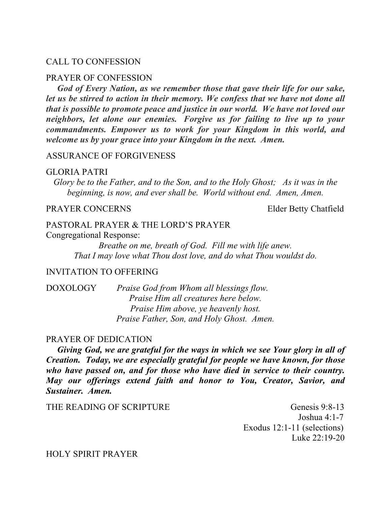### CALL TO CONFESSION

#### PRAYER OF CONFESSION

 *God of Every Nation, as we remember those that gave their life for our sake, let us be stirred to action in their memory. We confess that we have not done all that is possible to promote peace and justice in our world. We have not loved our neighbors, let alone our enemies. Forgive us for failing to live up to your commandments. Empower us to work for your Kingdom in this world, and welcome us by your grace into your Kingdom in the next. Amen.*

## ASSURANCE OF FORGIVENESS

#### GLORIA PATRI

*Glory be to the Father, and to the Son, and to the Holy Ghost; As it was in the beginning, is now, and ever shall be. World without end. Amen, Amen.*

# PRAYER CONCERNS Elder Betty Chatfield

# PASTORAL PRAYER & THE LORD'S PRAYER

Congregational Response:

*Breathe on me, breath of God. Fill me with life anew. That I may love what Thou dost love, and do what Thou wouldst do.*

# INVITATION TO OFFERING

DOXOLOGY *Praise God from Whom all blessings flow. Praise Him all creatures here below. Praise Him above, ye heavenly host. Praise Father, Son, and Holy Ghost. Amen.*

#### PRAYER OF DEDICATION

 *Giving God, we are grateful for the ways in which we see Your glory in all of Creation. Today, we are especially grateful for people we have known, for those who have passed on, and for those who have died in service to their country. May our offerings extend faith and honor to You, Creator, Savior, and Sustainer. Amen.* 

THE READING OF SCRIPTURE Genesis 9:8-13 Joshua 4:1-7 Exodus 12:1-11 (selections) Luke 22:19-20

## HOLY SPIRIT PRAYER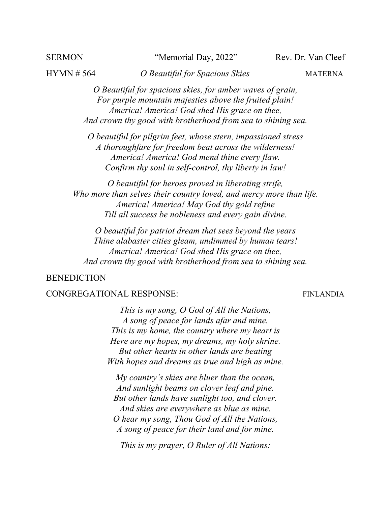#### SERMON "Memorial Day, 2022" Rev. Dr. Van Cleef

HYMN # 564 *O Beautiful for Spacious Skies* MATERNA

*O Beautiful for spacious skies, for amber waves of grain, For purple mountain majesties above the fruited plain! America! America! God shed His grace on thee, And crown thy good with brotherhood from sea to shining sea.*

*O beautiful for pilgrim feet, whose stern, impassioned stress A thoroughfare for freedom beat across the wilderness! America! America! God mend thine every flaw. Confirm thy soul in self-control, thy liberty in law!*

*O beautiful for heroes proved in liberating strife, Who more than selves their country loved, and mercy more than life. America! America! May God thy gold refine Till all success be nobleness and every gain divine.*

*O beautiful for patriot dream that sees beyond the years Thine alabaster cities gleam, undimmed by human tears! America! America! God shed His grace on thee, And crown thy good with brotherhood from sea to shining sea.* 

# BENEDICTION

# CONGREGATIONAL RESPONSE: FINLANDIA

*This is my song, O God of All the Nations, A song of peace for lands afar and mine. This is my home, the country where my heart is Here are my hopes, my dreams, my holy shrine. But other hearts in other lands are beating With hopes and dreams as true and high as mine.*

*My country's skies are bluer than the ocean, And sunlight beams on clover leaf and pine. But other lands have sunlight too, and clover. And skies are everywhere as blue as mine. O hear my song, Thou God of All the Nations, A song of peace for their land and for mine.*

*This is my prayer, O Ruler of All Nations:*